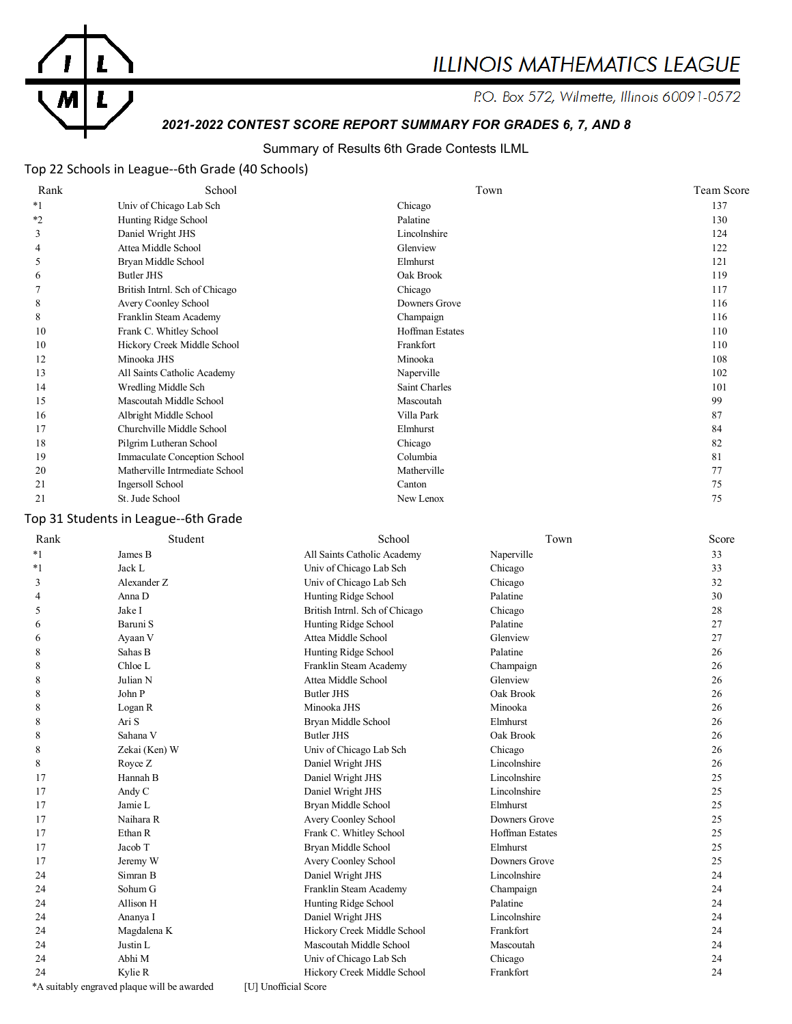

# **ILLINOIS MATHEMATICS LEAGUE**

P.O. Box 572, Wilmette, Illinois 60091-0572

# *2021-2022 CONTEST SCORE REPORT SUMMARY FOR GRADES 6, 7, AND 8*

# Summary of Results 6th Grade Contests ILML

# Top 22 Schools in League--6th Grade (40 Schools)

| Rank    | School                         | Town                   | <b>Team Score</b> |
|---------|--------------------------------|------------------------|-------------------|
| $*1$    | Univ of Chicago Lab Sch        | Chicago                | 137               |
| $*_{2}$ | Hunting Ridge School           | Palatine               | 130               |
| 3       | Daniel Wright JHS              | Lincolnshire           | 124               |
| 4       | Attea Middle School            | Glenview               | 122               |
| 5       | Bryan Middle School            | Elmhurst               | 121               |
| 6       | Butler JHS                     | Oak Brook              | 119               |
|         | British Intrnl. Sch of Chicago | Chicago                | 117               |
| 8       | Avery Coonley School           | Downers Grove          | 116               |
| 8       | Franklin Steam Academy         | Champaign              | 116               |
| 10      | Frank C. Whitley School        | <b>Hoffman Estates</b> | 110               |
| 10      | Hickory Creek Middle School    | Frankfort              | 110               |
| 12      | Minooka JHS                    | Minooka                | 108               |
| 13      | All Saints Catholic Academy    | Naperville             | 102               |
| 14      | Wredling Middle Sch            | Saint Charles          | 101               |
| 15      | Mascoutah Middle School        | Mascoutah              | 99                |
| 16      | Albright Middle School         | Villa Park             | 87                |
| 17      | Churchville Middle School      | Elmhurst               | 84                |
| 18      | Pilgrim Lutheran School        | Chicago                | 82                |
| 19      | Immaculate Conception School   | Columbia               | 81                |
| 20      | Matherville Intrmediate School | Matherville            | 77                |
| 21      | Ingersoll School               | Canton                 | 75                |
| 21      | St. Jude School                | New Lenox              | 75                |

# Top 31 Students in League--6th Grade

| Rank | Student                                     | School                         | Town                   | Score |
|------|---------------------------------------------|--------------------------------|------------------------|-------|
| $*1$ | James B                                     | All Saints Catholic Academy    | Naperville             | 33    |
| $*1$ | Jack L                                      | Univ of Chicago Lab Sch        | Chicago                | 33    |
| 3    | Alexander Z                                 | Univ of Chicago Lab Sch        | Chicago                | 32    |
| 4    | Anna D                                      | Hunting Ridge School           | Palatine               | 30    |
| 5    | Jake I                                      | British Intrnl. Sch of Chicago | Chicago                | 28    |
| 6    | Baruni S                                    | Hunting Ridge School           | Palatine               | 27    |
| 6    | Ayaan V                                     | Attea Middle School            | Glenview               | 27    |
| 8    | Sahas B                                     | Hunting Ridge School           | Palatine               | 26    |
| 8    | Chloe L                                     | Franklin Steam Academy         | Champaign              | 26    |
| 8    | Julian N                                    | Attea Middle School            | Glenview               | 26    |
| 8    | John P                                      | Butler JHS                     | Oak Brook              | 26    |
| 8    | Logan R                                     | Minooka JHS                    | Minooka                | 26    |
| 8    | Ari S                                       | Bryan Middle School            | Elmhurst               | 26    |
| 8    | Sahana V                                    | <b>Butler JHS</b>              | Oak Brook              | 26    |
| 8    | Zekai (Ken) W                               | Univ of Chicago Lab Sch        | Chicago                | 26    |
| 8    | Royce Z                                     | Daniel Wright JHS              | Lincolnshire           | 26    |
| 17   | Hannah B                                    | Daniel Wright JHS              | Lincolnshire           | 25    |
| 17   | Andy C                                      | Daniel Wright JHS              | Lincolnshire           | 25    |
| 17   | Jamie L                                     | Bryan Middle School            | Elmhurst               | 25    |
| 17   | Naihara R                                   | Avery Coonley School           | Downers Grove          | 25    |
| 17   | Ethan R                                     | Frank C. Whitley School        | <b>Hoffman Estates</b> | 25    |
| 17   | Jacob T                                     | Bryan Middle School            | Elmhurst               | 25    |
| 17   | Jeremy W                                    | Avery Coonley School           | Downers Grove          | 25    |
| 24   | Simran B                                    | Daniel Wright JHS              | Lincolnshire           | 24    |
| 24   | Sohum G                                     | Franklin Steam Academy         | Champaign              | 24    |
| 24   | Allison H                                   | Hunting Ridge School           | Palatine               | 24    |
| 24   | Ananya I                                    | Daniel Wright JHS              | Lincolnshire           | 24    |
| 24   | Magdalena K                                 | Hickory Creek Middle School    | Frankfort              | 24    |
| 24   | Justin L                                    | Mascoutah Middle School        | Mascoutah              | 24    |
| 24   | Abhi M                                      | Univ of Chicago Lab Sch        | Chicago                | 24    |
| 24   | Kylie R                                     | Hickory Creek Middle School    | Frankfort              | 24    |
|      | *A suitably engraved plaque will be awarded | [U] Unofficial Score           |                        |       |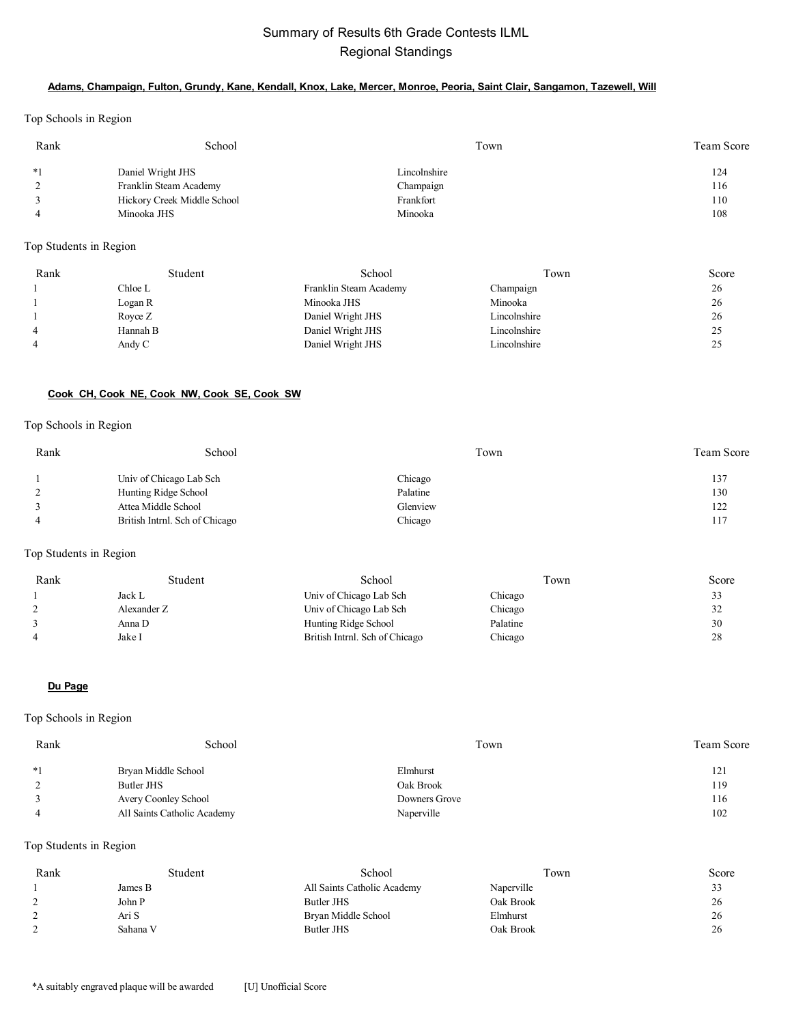# Summary of Results 6th Grade Contests ILML Regional Standings

### **Adams, Champaign, Fulton, Grundy, Kane, Kendall, Knox, Lake, Mercer, Monroe, Peoria, Saint Clair, Sangamon, Tazewell, Will**

Top Schools in Region

| Rank | School                      | Town         | Team Score |
|------|-----------------------------|--------------|------------|
| $*1$ | Daniel Wright JHS           | Lincolnshire | 124        |
|      | Franklin Steam Academy      | Champaign    | 116        |
|      | Hickory Creek Middle School | Frankfort    | 110        |
|      | Minooka JHS                 | Minooka      | 108        |

Top Students in Region

| Rank | Student  | School                 | Town         | Score |
|------|----------|------------------------|--------------|-------|
|      | Chloe L  | Franklin Steam Academy | Champaign    | 26    |
|      | Logan R  | Minooka JHS            | Minooka      | 26    |
|      | Royce Z  | Daniel Wright JHS      | Lincolnshire | 26    |
| 4    | Hannah B | Daniel Wright JHS      | Lincolnshire |       |
|      | Andy C   | Daniel Wright JHS      | Lincolnshire |       |

### **Cook CH, Cook NE, Cook NW, Cook SE, Cook SW**

#### Top Schools in Region

| Rank | School                         | Town     | Team Score |
|------|--------------------------------|----------|------------|
|      | Univ of Chicago Lab Sch        | Chicago  | 137        |
|      | Hunting Ridge School           | Palatine | 130        |
|      | Attea Middle School            | Glenview | 122        |
|      | British Intrnl. Sch of Chicago | Chicago  | 117        |

# Top Students in Region

| Rank | Student     | School                         | l own    | Score |
|------|-------------|--------------------------------|----------|-------|
|      | Jack L      | Univ of Chicago Lab Sch        | Chicago  | 33    |
|      | Alexander Z | Univ of Chicago Lab Sch        | Chicago  | 32    |
|      | Anna D      | Hunting Ridge School           | Palatine | 30    |
| 4    | Jake I      | British Intrnl. Sch of Chicago | Chicago  | 28    |

#### **Du Page**

# Top Schools in Region

| Rank | School                      | Town          | <b>Team Score</b> |
|------|-----------------------------|---------------|-------------------|
| $*1$ | Bryan Middle School         | Elmhurst      | 121               |
|      | Butler JHS                  | Oak Brook     | 119               |
|      | Avery Coonley School        | Downers Grove | 116               |
|      | All Saints Catholic Academy | Naperville    | 102               |

| Rank | Student  | School                      | Town       | Score |
|------|----------|-----------------------------|------------|-------|
|      | James B  | All Saints Catholic Academy | Naperville | ر ر   |
|      | John P   | Butler JHS                  | Oak Brook  | 26    |
|      | Ari S    | Bryan Middle School         | Elmhurst   | 26    |
|      | Sahana V | Butler JHS                  | Oak Brook  | 26    |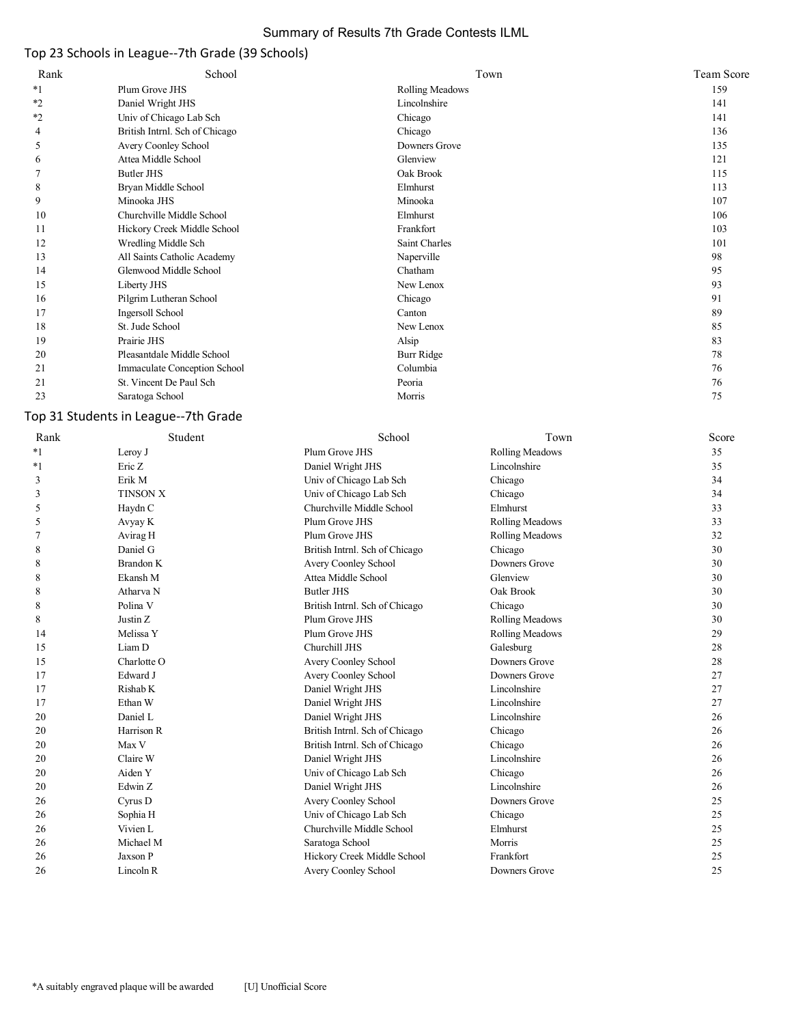# Summary of Results 7th Grade Contests ILML

# Top 23 Schools in League--7th Grade (39 Schools)

| Rank    | School                         | Town                   | Team Score |
|---------|--------------------------------|------------------------|------------|
| $*1$    | Plum Grove JHS                 | <b>Rolling Meadows</b> | 159        |
| $*_{2}$ | Daniel Wright JHS              | Lincolnshire           | 141        |
| $*_{2}$ | Univ of Chicago Lab Sch        | Chicago                | 141        |
| 4       | British Intrnl. Sch of Chicago | Chicago                | 136        |
| 5       | Avery Coonley School           | Downers Grove          | 135        |
| 6       | Attea Middle School            | Glenview               | 121        |
|         | Butler JHS                     | Oak Brook              | 115        |
| 8       | Bryan Middle School            | Elmhurst               | 113        |
| 9       | Minooka JHS                    | Minooka                | 107        |
| 10      | Churchville Middle School      | Elmhurst               | 106        |
| 11      | Hickory Creek Middle School    | Frankfort              | 103        |
| 12      | Wredling Middle Sch            | Saint Charles          | 101        |
| 13      | All Saints Catholic Academy    | Naperville             | 98         |
| 14      | Glenwood Middle School         | Chatham                | 95         |
| 15      | Liberty JHS                    | New Lenox              | 93         |
| 16      | Pilgrim Lutheran School        | Chicago                | 91         |
| 17      | Ingersoll School               | Canton                 | 89         |
| 18      | St. Jude School                | New Lenox              | 85         |
| 19      | Prairie JHS                    | Alsip                  | 83         |
| 20      | Pleasantdale Middle School     | Burr Ridge             | 78         |
| 21      | Immaculate Conception School   | Columbia               | 76         |
| 21      | St. Vincent De Paul Sch        | Peoria                 | 76         |
| 23      | Saratoga School                | Morris                 | 75         |

# Top 31 Students in League--7th Grade

| Rank    | Student         | School                         | Town                   | Score |
|---------|-----------------|--------------------------------|------------------------|-------|
| $*_{1}$ | Leroy J         | Plum Grove JHS                 | Rolling Meadows        | 35    |
| $*1$    | Eric Z          | Daniel Wright JHS              | Lincolnshire           | 35    |
| 3       | Erik M          | Univ of Chicago Lab Sch        | Chicago                | 34    |
| 3       | <b>TINSON X</b> | Univ of Chicago Lab Sch        | Chicago                | 34    |
| 5       | Haydn C         | Churchville Middle School      | Elmhurst               | 33    |
| 5       | Avyay K         | Plum Grove JHS                 | <b>Rolling Meadows</b> | 33    |
|         | Avirag H        | Plum Grove JHS                 | Rolling Meadows        | 32    |
| 8       | Daniel G        | British Intrnl. Sch of Chicago | Chicago                | 30    |
| 8       | Brandon K       | Avery Coonley School           | Downers Grove          | 30    |
| 8       | Ekansh M        | Attea Middle School            | Glenview               | 30    |
| 8       | Atharva N       | <b>Butler JHS</b>              | Oak Brook              | 30    |
| 8       | Polina V        | British Intrnl. Sch of Chicago | Chicago                | 30    |
| 8       | Justin Z        | Plum Grove JHS                 | <b>Rolling Meadows</b> | 30    |
| 14      | Melissa Y       | Plum Grove JHS                 | Rolling Meadows        | 29    |
| 15      | Liam D          | Churchill JHS                  | Galesburg              | 28    |
| 15      | Charlotte O     | Avery Coonley School           | Downers Grove          | 28    |
| 17      | Edward J        | Avery Coonley School           | Downers Grove          | 27    |
| 17      | Rishab K        | Daniel Wright JHS              | Lincolnshire           | 27    |
| 17      | Ethan W         | Daniel Wright JHS              | Lincolnshire           | 27    |
| 20      | Daniel L        | Daniel Wright JHS              | Lincolnshire           | 26    |
| 20      | Harrison R      | British Intrnl. Sch of Chicago | Chicago                | 26    |
| 20      | Max V           | British Intrnl. Sch of Chicago | Chicago                | 26    |
| 20      | Claire W        | Daniel Wright JHS              | Lincolnshire           | 26    |
| 20      | Aiden Y         | Univ of Chicago Lab Sch        | Chicago                | 26    |
| 20      | Edwin Z         | Daniel Wright JHS              | Lincolnshire           | 26    |
| 26      | Cyrus D         | Avery Coonley School           | Downers Grove          | 25    |
| 26      | Sophia H        | Univ of Chicago Lab Sch        | Chicago                | 25    |
| 26      | Vivien L        | Churchville Middle School      | Elmhurst               | 25    |
| 26      | Michael M       | Saratoga School                | Morris                 | 25    |
| 26      | Jaxson P        | Hickory Creek Middle School    | Frankfort              | 25    |
| 26      | Lincoln R       | Avery Coonley School           | Downers Grove          | 25    |
|         |                 |                                |                        |       |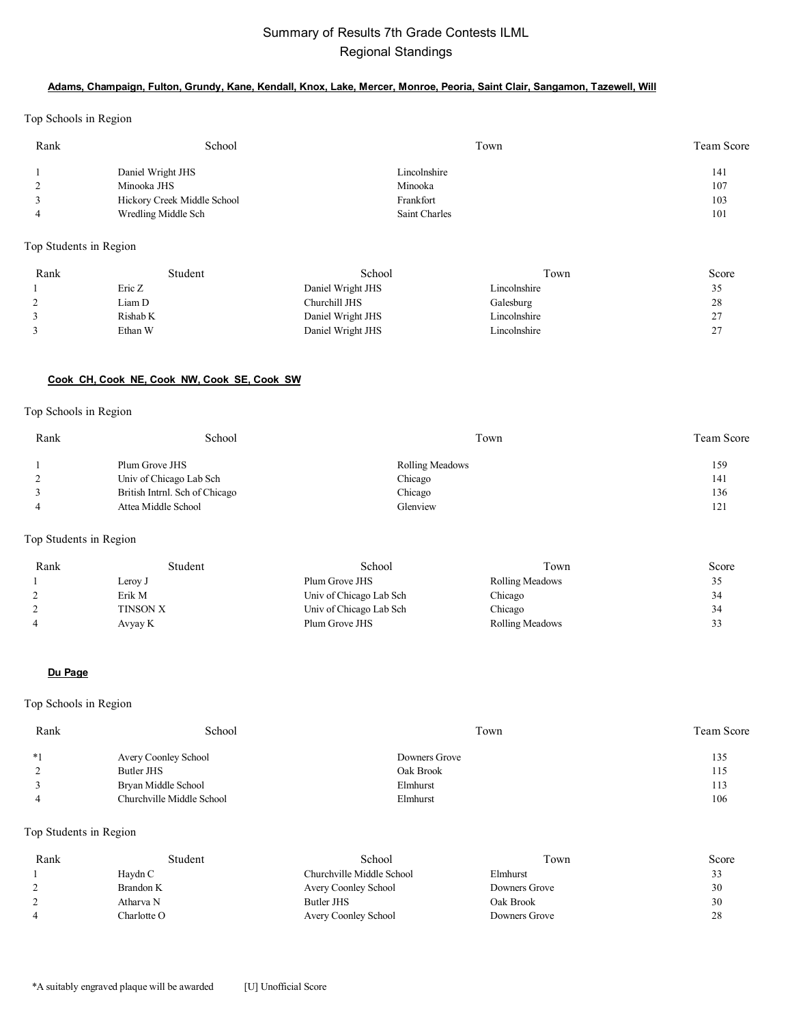# Summary of Results 7th Grade Contests ILML Regional Standings

### **Adams, Champaign, Fulton, Grundy, Kane, Kendall, Knox, Lake, Mercer, Monroe, Peoria, Saint Clair, Sangamon, Tazewell, Will**

Top Schools in Region

| Rank | School                      | Town          | Team Score |
|------|-----------------------------|---------------|------------|
|      | Daniel Wright JHS           | Lincolnshire  | 141        |
|      | Minooka JHS                 | Minooka       | 107        |
|      | Hickory Creek Middle School | Frankfort     | 103        |
|      | Wredling Middle Sch         | Saint Charles | 101        |

Top Students in Region

| Rank     | Student  | School            | Town         | Score              |
|----------|----------|-------------------|--------------|--------------------|
|          | Eric Z   | Daniel Wright JHS | Lincolnshire | ں ر                |
| $\gamma$ | Liam D   | Churchill JHS     | Galesburg    | 28                 |
|          | Rishab K | Daniel Wright JHS | Lincolnshire | ົ<br><u>_</u>      |
|          | Ethan W  | Daniel Wright JHS | Lincolnshire | $\sim$<br><u>_</u> |

#### **Cook CH, Cook NE, Cook NW, Cook SE, Cook SW**

#### Top Schools in Region

| Rank | School                         | Town                   | <b>Team Score</b> |
|------|--------------------------------|------------------------|-------------------|
|      | Plum Grove JHS                 | <b>Rolling Meadows</b> | 159               |
|      | Univ of Chicago Lab Sch        | Chicago                | 141               |
|      | British Intrnl. Sch of Chicago | Chicago                | 136               |
|      | Attea Middle School            | Glenview               | 121               |

### Top Students in Region

| Rank | Student  | School                  | Town                   | Score                    |
|------|----------|-------------------------|------------------------|--------------------------|
|      | Leroy J  | Plum Grove JHS          | Rolling Meadows        | 35                       |
|      | Erik M   | Univ of Chicago Lab Sch | Chicago                | 34                       |
|      | TINSON X | Univ of Chicago Lab Sch | Chicago                | 34                       |
| 4    | Avyay K  | Plum Grove JHS          | <b>Rolling Meadows</b> | $\mathbf{\hat{z}}$<br>33 |

#### **Du Page**

### Top Schools in Region

| Rank | School                    | Town          | <b>Team Score</b> |
|------|---------------------------|---------------|-------------------|
| $*1$ | Avery Coonley School      | Downers Grove | 135               |
|      | Butler JHS                | Oak Brook     | 115               |
|      | Bryan Middle School       | Elmhurst      | 113               |
|      | Churchville Middle School | Elmhurst      | 106               |

| Rank | Student     | School                    | Town          | Score    |
|------|-------------|---------------------------|---------------|----------|
|      | Havdn C     | Churchville Middle School | Elmhurst      | <u>.</u> |
|      | Brandon K   | Avery Coonley School      | Downers Grove | 30       |
|      | Atharva N   | Butler JHS                | Oak Brook     | 30       |
|      | Charlotte O | Avery Coonley School      | Downers Grove | 28       |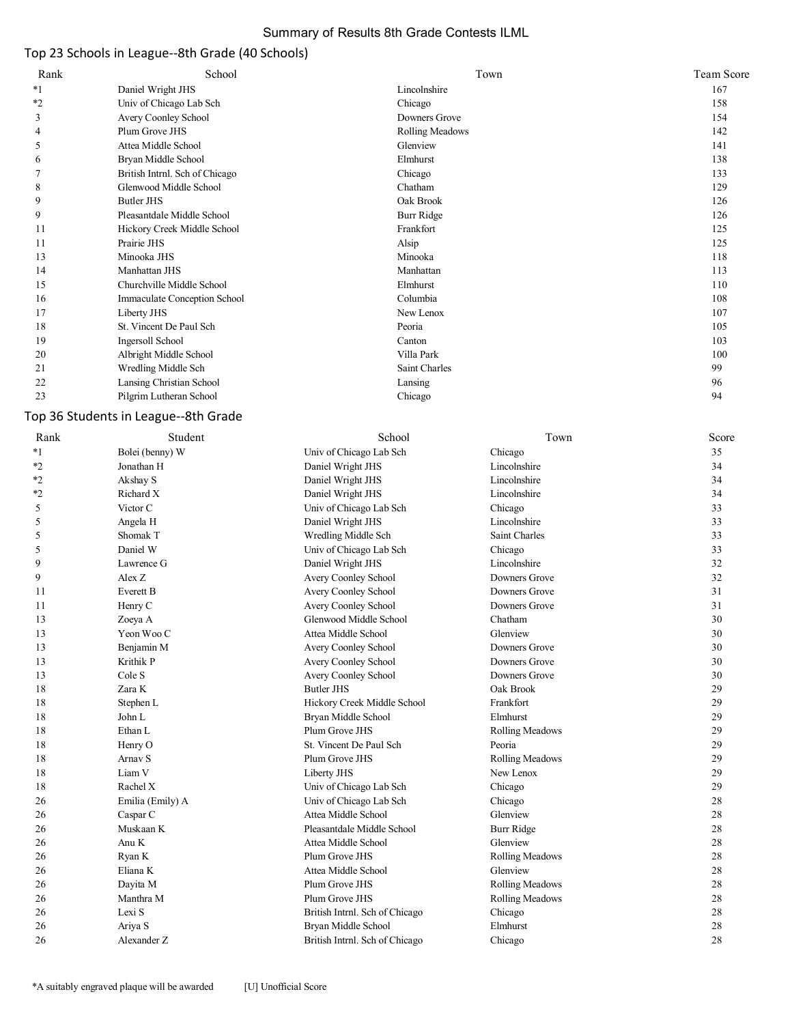# Summary of Results 8th Grade Contests ILML

# Top 23 Schools in League--8th Grade (40 Schools)

| School<br>Rank                                 | Town<br>Team Score |
|------------------------------------------------|--------------------|
| $*_{1}$<br>Daniel Wright JHS<br>Lincolnshire   | 167                |
| $*_{2}$<br>Univ of Chicago Lab Sch<br>Chicago  | 158                |
| Downers Grove<br>3<br>Avery Coonley School     | 154                |
| Plum Grove JHS<br>Rolling Meadows<br>4         | 142                |
| Attea Middle School<br>Glenview<br>5           | 141                |
| Elmhurst<br>Bryan Middle School<br>6           | 138                |
| British Intrnl. Sch of Chicago<br>Chicago      | 133                |
| Glenwood Middle School<br>Chatham<br>8         | 129                |
| Oak Brook<br>Butler JHS<br>9                   | 126                |
| 9<br>Pleasantdale Middle School<br>Burr Ridge  | 126                |
| Frankfort<br>11<br>Hickory Creek Middle School | 125                |
| Prairie JHS<br>Alsip<br>11                     | 125                |
| Minooka JHS<br>13<br>Minooka                   | 118                |
| Manhattan JHS<br>14<br>Manhattan               | 113                |
| Churchville Middle School<br>Elmhurst<br>15    | 110                |
| Immaculate Conception School<br>Columbia<br>16 | 108                |
| New Lenox<br>17<br>Liberty JHS                 | 107                |
| 18<br>St. Vincent De Paul Sch<br>Peoria        | 105                |
| 19<br>Ingersoll School<br>Canton               | 103                |
| Villa Park<br>20<br>Albright Middle School     | 100                |
| Saint Charles<br>21<br>Wredling Middle Sch     | 99                 |
| 22<br>Lansing Christian School<br>Lansing      | 96                 |
| Pilgrim Lutheran School<br>23<br>Chicago       | 94                 |

# Top 36 Students in League--8th Grade

| Rank    | Student          | School                         | Town            | Score |
|---------|------------------|--------------------------------|-----------------|-------|
| $*_{1}$ | Bolei (benny) W  | Univ of Chicago Lab Sch        | Chicago         | 35    |
| $*2$    | Jonathan H       | Daniel Wright JHS              | Lincolnshire    | 34    |
| $*2$    | Akshay S         | Daniel Wright JHS              | Lincolnshire    | 34    |
| $*2$    | Richard X        | Daniel Wright JHS              | Lincolnshire    | 34    |
| 5       | Victor C         | Univ of Chicago Lab Sch        | Chicago         | 33    |
| 5       | Angela H         | Daniel Wright JHS              | Lincolnshire    | 33    |
| 5       | Shomak T         | Wredling Middle Sch            | Saint Charles   | 33    |
| 5       | Daniel W         | Univ of Chicago Lab Sch        | Chicago         | 33    |
| 9       | Lawrence G       | Daniel Wright JHS              | Lincolnshire    | 32    |
| 9       | Alex Z           | Avery Coonley School           | Downers Grove   | 32    |
| 11      | Everett B        | Avery Coonley School           | Downers Grove   | 31    |
| 11      | Henry C          | Avery Coonley School           | Downers Grove   | 31    |
| 13      | Zoeya A          | Glenwood Middle School         | Chatham         | 30    |
| 13      | Yeon Woo C       | Attea Middle School            | Glenview        | 30    |
| 13      | Benjamin M       | Avery Coonley School           | Downers Grove   | 30    |
| 13      | Krithik P        | Avery Coonley School           | Downers Grove   | 30    |
| 13      | Cole S           | Avery Coonley School           | Downers Grove   | 30    |
| 18      | Zara K           | <b>Butler JHS</b>              | Oak Brook       | 29    |
| 18      | Stephen L        | Hickory Creek Middle School    | Frankfort       | 29    |
| 18      | John L           | Bryan Middle School            | Elmhurst        | 29    |
| 18      | Ethan L          | Plum Grove JHS                 | Rolling Meadows | 29    |
| 18      | Henry O          | St. Vincent De Paul Sch        | Peoria          | 29    |
| 18      | Arnav S          | Plum Grove JHS                 | Rolling Meadows | 29    |
| 18      | Liam V           | Liberty JHS                    | New Lenox       | 29    |
| 18      | Rachel X         | Univ of Chicago Lab Sch        | Chicago         | 29    |
| 26      | Emilia (Emily) A | Univ of Chicago Lab Sch        | Chicago         | 28    |
| 26      | Caspar C         | Attea Middle School            | Glenview        | 28    |
| 26      | Muskaan K        | Pleasantdale Middle School     | Burr Ridge      | 28    |
| 26      | Anu K            | Attea Middle School            | Glenview        | 28    |
| 26      | Ryan K           | Plum Grove JHS                 | Rolling Meadows | 28    |
| 26      | Eliana K         | Attea Middle School            | Glenview        | 28    |
| 26      | Dayita M         | Plum Grove JHS                 | Rolling Meadows | 28    |
| 26      | Manthra M        | Plum Grove JHS                 | Rolling Meadows | 28    |
| 26      | Lexi S           | British Intrnl. Sch of Chicago | Chicago         | 28    |
| 26      | Ariya S          | Bryan Middle School            | Elmhurst        | 28    |
| 26      | Alexander Z      | British Intrnl. Sch of Chicago | Chicago         | 28    |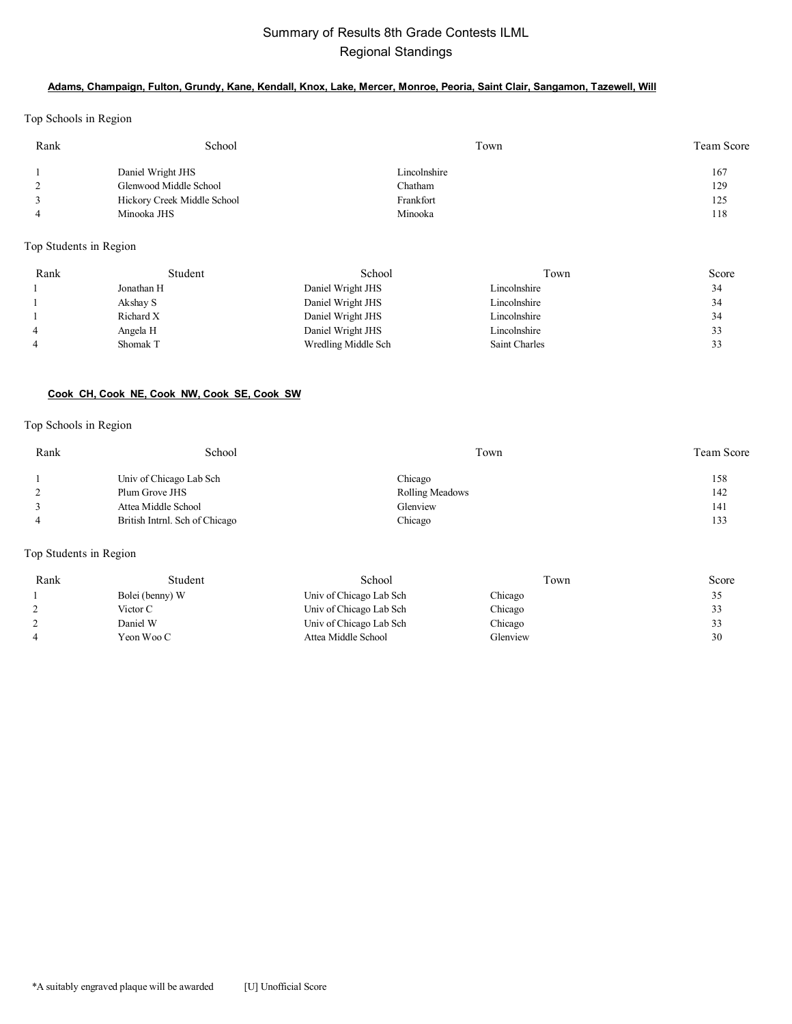# Summary of Results 8th Grade Contests ILML Regional Standings

### **Adams, Champaign, Fulton, Grundy, Kane, Kendall, Knox, Lake, Mercer, Monroe, Peoria, Saint Clair, Sangamon, Tazewell, Will**

Top Schools in Region

| Rank | School                      | Town         | Team Score |
|------|-----------------------------|--------------|------------|
|      | Daniel Wright JHS           | Lincolnshire | 167        |
|      | Glenwood Middle School      | Chatham      | 129        |
|      | Hickory Creek Middle School | Frankfort    | 125        |
|      | Minooka JHS                 | Minooka      | 118        |

Top Students in Region

| Rank           | Student    | School              | Town          | Score |
|----------------|------------|---------------------|---------------|-------|
|                | Jonathan H | Daniel Wright JHS   | Lincolnshire  | 34    |
|                | Akshay S   | Daniel Wright JHS   | Lincolnshire  | 34    |
|                | Richard X  | Daniel Wright JHS   | Lincolnshire  | 34    |
| $\overline{4}$ | Angela H   | Daniel Wright JHS   | Lincolnshire  |       |
| $\overline{4}$ | Shomak T   | Wredling Middle Sch | Saint Charles |       |

### **Cook CH, Cook NE, Cook NW, Cook SE, Cook SW**

#### Top Schools in Region

| Rank | School                         | Town            | <b>Team Score</b> |
|------|--------------------------------|-----------------|-------------------|
|      | Univ of Chicago Lab Sch        | Chicago         | 158               |
|      | Plum Grove JHS                 | Rolling Meadows | 142               |
|      | Attea Middle School            | Glenview        | 141               |
|      | British Intrnl. Sch of Chicago | Chicago         | 133               |

| Rank | Student         | School                  | Town     | Score |
|------|-----------------|-------------------------|----------|-------|
|      | Bolei (benny) W | Univ of Chicago Lab Sch | Chicago  | 35    |
|      | Victor C        | Univ of Chicago Lab Sch | Chicago  | 33    |
|      | Daniel W        | Univ of Chicago Lab Sch | Chicago  | 33    |
|      | Yeon Woo C      | Attea Middle School     | Glenview | 30    |